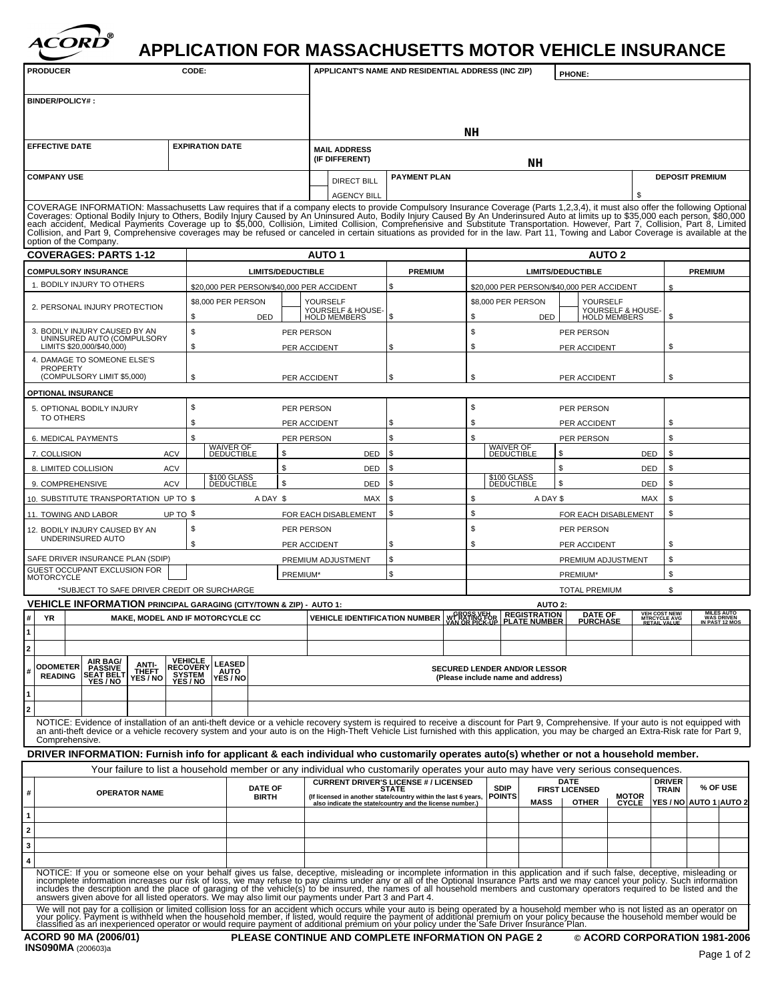

## **APPLICATION FOR MASSACHUSETTS MOTOR VEHICLE INSURANCE**

| <b>PRODUCER</b>                                                                                                                                | <b>CODE:</b>                            | APPLICANT'S NAME AND RESIDENTIAL ADDRESS (INC ZIP)                                                                                       | <b>PHONE</b>                                                                                                                                                                                                                                                                                                                                                                                                         |                                            |
|------------------------------------------------------------------------------------------------------------------------------------------------|-----------------------------------------|------------------------------------------------------------------------------------------------------------------------------------------|----------------------------------------------------------------------------------------------------------------------------------------------------------------------------------------------------------------------------------------------------------------------------------------------------------------------------------------------------------------------------------------------------------------------|--------------------------------------------|
| <b>BINDER/POLICY# :</b>                                                                                                                        |                                         |                                                                                                                                          |                                                                                                                                                                                                                                                                                                                                                                                                                      |                                            |
|                                                                                                                                                |                                         |                                                                                                                                          |                                                                                                                                                                                                                                                                                                                                                                                                                      |                                            |
| <b>EFFECTIVE DATE</b>                                                                                                                          | <b>EXPIRATION DATE</b>                  | <b>MAIL ADDRESS</b>                                                                                                                      | NH                                                                                                                                                                                                                                                                                                                                                                                                                   |                                            |
|                                                                                                                                                |                                         | (IF DIFFERENT)                                                                                                                           | NH                                                                                                                                                                                                                                                                                                                                                                                                                   |                                            |
| <b>COMPANY USE</b>                                                                                                                             |                                         | <b>PAYMENT PLAN</b><br>DIRECT BILI                                                                                                       |                                                                                                                                                                                                                                                                                                                                                                                                                      | <b>DEPOSIT PREMIUM</b>                     |
|                                                                                                                                                |                                         | <b>AGENCY</b>                                                                                                                            |                                                                                                                                                                                                                                                                                                                                                                                                                      |                                            |
|                                                                                                                                                |                                         |                                                                                                                                          | COVERAGE INFORMATION: Massachusetts Law requires that if a company elects to provide Compulsory Insurance Coverage (Parts 1,2,3,4), it must also offer the following Optional Coverages: Optional Bodily Injury to Others, Bod<br>Collision, and Part 9, Comprehensive coverages may be refused or canceled in certain situations as provided for in the law. Part 11, Towing and Labor Coverage is available at the |                                            |
| option of the Company.                                                                                                                         |                                         |                                                                                                                                          |                                                                                                                                                                                                                                                                                                                                                                                                                      |                                            |
| <b>COVERAGES: PARTS 1-12</b><br><b>COMPULSORY INSURANCE</b>                                                                                    |                                         | <b>AUTO 1</b><br><b>LIMITS/DEDUCTIBLE</b><br><b>PREMIUM</b>                                                                              | <b>AUTO 2</b><br><b>LIMITS/DEDUCTIBLE</b>                                                                                                                                                                                                                                                                                                                                                                            | <b>PREMIUM</b>                             |
| BODILY INJURY TO OTHERS                                                                                                                        |                                         | 20,000 PER PERSON/\$40,000 PER ACCIDENT                                                                                                  | 0,000 PER PERSON/\$40,000 PER ACCIDENT                                                                                                                                                                                                                                                                                                                                                                               |                                            |
| PERSONAL INJURY PROTECTION                                                                                                                     | 8,000 PER PERSON                        | YOURSELF                                                                                                                                 | \$8,000 PER PERSON<br>YOURSELF                                                                                                                                                                                                                                                                                                                                                                                       |                                            |
| . BODILY INJURY CAUSED BY AN                                                                                                                   | DED                                     | YOURSELF & HOUSE-<br>HOLD MEMBERS                                                                                                        | YOURSELF & HOUSE-<br>HOLD MEMBERS                                                                                                                                                                                                                                                                                                                                                                                    |                                            |
| UNINSURED AUTO (COMPULSORY<br>LIMITS \$20,000/\$40,000)                                                                                        |                                         | PER PERSON<br>PER ACCIDENT                                                                                                               | PER PERSON<br>PER ACCIDENT                                                                                                                                                                                                                                                                                                                                                                                           |                                            |
| . DAMAGE TO SOMEONE ELSE'S<br>PROPERTY                                                                                                         |                                         |                                                                                                                                          |                                                                                                                                                                                                                                                                                                                                                                                                                      |                                            |
| (COMPULSORY LIMIT \$5,000)                                                                                                                     |                                         | PER ACCIDENT                                                                                                                             | PER ACCIDENT                                                                                                                                                                                                                                                                                                                                                                                                         |                                            |
| <b>OPTIONAL INSURANCE</b><br>. OPTIONAL BODILY INJURY                                                                                          |                                         | PER PERSON                                                                                                                               | PER PERSON                                                                                                                                                                                                                                                                                                                                                                                                           |                                            |
| TO OTHERS                                                                                                                                      |                                         | PER ACCIDENT                                                                                                                             | PER ACCIDENT                                                                                                                                                                                                                                                                                                                                                                                                         |                                            |
| MEDICAL PAYMENTS                                                                                                                               |                                         | PER PERSON                                                                                                                               | PER PERSON                                                                                                                                                                                                                                                                                                                                                                                                           |                                            |
| COLLISION<br>LIMITED COLLISION                                                                                                                 | ĬĔĎŮĊŤĬBLE                              | DED                                                                                                                                      | <b>DEDUCTIBLE</b><br>DED                                                                                                                                                                                                                                                                                                                                                                                             |                                            |
| <b>COMPREHENSIVE</b>                                                                                                                           | \$100 GLASS<br>DEDUCTIBLE               | DED.                                                                                                                                     | \$100 GLASS<br>DEDUCTIBLE<br>DED                                                                                                                                                                                                                                                                                                                                                                                     |                                            |
| SUBSTITUTE TRANSPORTATION UP TO \$                                                                                                             |                                         | A DAY \$<br>MAX                                                                                                                          | A DAY \$<br>MA>                                                                                                                                                                                                                                                                                                                                                                                                      |                                            |
| TOWING AND LABOR<br>. BODILY INJURY CAUSED BY AN                                                                                               | UP TO \$                                | FOR EACH DISABLEMENT<br>PER PERSON                                                                                                       | FOR EACH DISABLEMENT<br>PER PERSON                                                                                                                                                                                                                                                                                                                                                                                   |                                            |
| UNDERINSURED AUTO                                                                                                                              |                                         | PER ACCIDENT                                                                                                                             | PER ACCIDENT                                                                                                                                                                                                                                                                                                                                                                                                         |                                            |
| AFE DRIVER INSURANCE PLAN (SDIP)                                                                                                               |                                         | PREMIUM ADJUSTMENT                                                                                                                       | PREMIUM ADJUSTMENT                                                                                                                                                                                                                                                                                                                                                                                                   |                                            |
| JEST OCCUPANT EXCLUSION FOR<br><i><b>IOTORCYCLE</b></i>                                                                                        |                                         | PREMIUM*                                                                                                                                 | PREMIUM*                                                                                                                                                                                                                                                                                                                                                                                                             |                                            |
| *SUBJECT TO SAFE DRIVER CREDIT OR SURCHARGE<br>VEHICLE INFORMATION PRINCIPAL GARAGING (CITY/TOWN & ZIP) - AUTO 1:                              |                                         |                                                                                                                                          | <b>TOTAL PREMIUM</b><br><b>AUTO 2:</b>                                                                                                                                                                                                                                                                                                                                                                               |                                            |
| <b>YR</b>                                                                                                                                      | <b>MAKE, MODEL AND IF MOTORCYCLE CC</b> |                                                                                                                                          | VEHICLE IDENTIFICATION NUMBER WARD BEGISTRATION DATE OF WERCOST NEWSPAPER                                                                                                                                                                                                                                                                                                                                            | MILES AUTO<br>WAS DRIVEN<br>IN PAST 12 MOS |
|                                                                                                                                                |                                         |                                                                                                                                          |                                                                                                                                                                                                                                                                                                                                                                                                                      |                                            |
|                                                                                                                                                |                                         |                                                                                                                                          |                                                                                                                                                                                                                                                                                                                                                                                                                      |                                            |
| NEAR BAG ANTI-<br>DODOMETER PASSIVE THEFT RECOVERY AUTO<br>READING SEAT BELT THEFT SYSTEM AUTO<br>YES / NO YES / NO YES / NO YES / NO YES / NO |                                         |                                                                                                                                          | SECURED LENDER AND/OR LESSOR<br>(Please include name and address)                                                                                                                                                                                                                                                                                                                                                    |                                            |
|                                                                                                                                                |                                         |                                                                                                                                          |                                                                                                                                                                                                                                                                                                                                                                                                                      |                                            |
|                                                                                                                                                |                                         |                                                                                                                                          |                                                                                                                                                                                                                                                                                                                                                                                                                      |                                            |
| Comprehensive.                                                                                                                                 |                                         |                                                                                                                                          | NOTICE: Evidence of installation of an anti-theft device or a vehicle recovery system is required to receive a discount for Part 9, Comprehensive. If your auto is not equipped with<br>an anti-theft device or a vehicle recover                                                                                                                                                                                    |                                            |
|                                                                                                                                                |                                         |                                                                                                                                          | DRIVER INFORMATION: Furnish info for applicant & each individual who customarily operates auto(s) whether or not a household member.                                                                                                                                                                                                                                                                                 |                                            |
|                                                                                                                                                |                                         | <b>CURRENT DRIVER'S LICENSE #/ LICENSED</b><br>STATE                                                                                     | Your failure to list a household member or any individual who customarily operates your auto may have very serious consequences.                                                                                                                                                                                                                                                                                     | <b>DRIVER</b>                              |
| <b>OPERATOR NAME</b>                                                                                                                           | <b>DATE OF</b><br><b>BIRTH</b>          | (If licensed in another state/country within the last 6 years, <b>POINTS</b><br>also indicate the state/country and the license number.) | SDIP<br><b>FIRST LICENSED</b><br>MOTOR YES/NO AUTO 1 AUTO                                                                                                                                                                                                                                                                                                                                                            | % OF USE<br>$T_{\text{RAIN}}$              |
|                                                                                                                                                |                                         |                                                                                                                                          |                                                                                                                                                                                                                                                                                                                                                                                                                      |                                            |
|                                                                                                                                                |                                         |                                                                                                                                          |                                                                                                                                                                                                                                                                                                                                                                                                                      |                                            |
|                                                                                                                                                |                                         |                                                                                                                                          |                                                                                                                                                                                                                                                                                                                                                                                                                      |                                            |
|                                                                                                                                                |                                         |                                                                                                                                          | NOTICE: If you or someone else on your behalf gives us false, deceptive, misleading or incomplete information in this application and if such false, deceptive, misleading or<br>incomplete information increases our risk of los                                                                                                                                                                                    |                                            |
|                                                                                                                                                |                                         | answers given above for all listed operators. We may also limit our payments under Part 3 and Part 4.                                    | includes the description and the place of garaging of the vehicle(s) to be insured, the names of all household members and customary operators required to be listed and the                                                                                                                                                                                                                                         |                                            |
|                                                                                                                                                |                                         |                                                                                                                                          | We will not pay for a collision or limited collision loss for an accident which occurs while your auto is being operated by a household member who is not listed as an operator on<br>your policy. Payment is withheld when the h                                                                                                                                                                                    |                                            |
| ACORD 90 MA (2006/01)                                                                                                                          |                                         | PLEASE CONTINUE AND COMPLETE INFORMATION ON PAGE 2                                                                                       | © ACORD CORPORATION 1981-2006                                                                                                                                                                                                                                                                                                                                                                                        |                                            |
| <b>INS090MA</b> (200603)a                                                                                                                      |                                         |                                                                                                                                          |                                                                                                                                                                                                                                                                                                                                                                                                                      | Page 1 of 2                                |